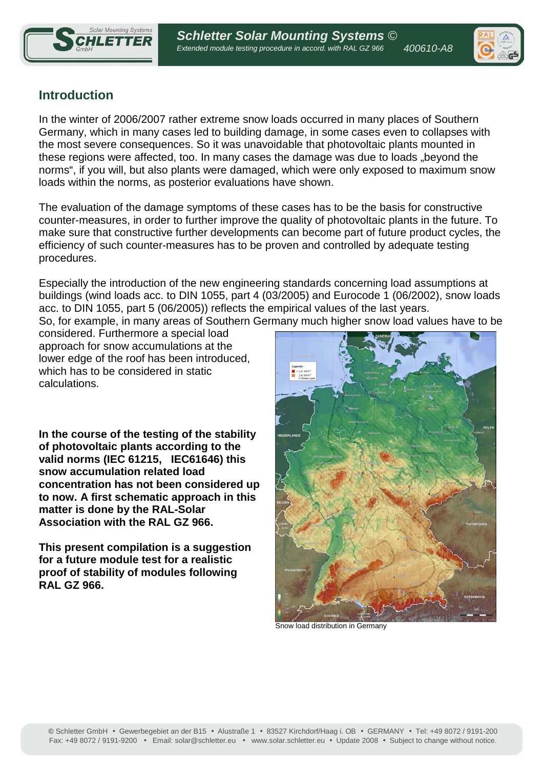



# **Introduction**

In the winter of 2006/2007 rather extreme snow loads occurred in many places of Southern Germany, which in many cases led to building damage, in some cases even to collapses with the most severe consequences. So it was unavoidable that photovoltaic plants mounted in these regions were affected, too. In many cases the damage was due to loads "beyond the norms", if you will, but also plants were damaged, which were only exposed to maximum snow loads within the norms, as posterior evaluations have shown.

The evaluation of the damage symptoms of these cases has to be the basis for constructive counter-measures, in order to further improve the quality of photovoltaic plants in the future. To make sure that constructive further developments can become part of future product cycles, the efficiency of such counter-measures has to be proven and controlled by adequate testing procedures.

Especially the introduction of the new engineering standards concerning load assumptions at buildings (wind loads acc. to DIN 1055, part 4 (03/2005) and Eurocode 1 (06/2002), snow loads acc. to DIN 1055, part 5 (06/2005)) reflects the empirical values of the last years.

So, for example, in many areas of Southern Germany much higher snow load values have to be

considered. Furthermore a special load approach for snow accumulations at the lower edge of the roof has been introduced, which has to be considered in static calculations.

**In the course of the testing of the stability of photovoltaic plants according to the valid norms (IEC 61215, IEC61646) this snow accumulation related load concentration has not been considered up to now. A first schematic approach in this matter is done by the RAL-Solar Association with the RAL GZ 966.** 

**This present compilation is a suggestion for a future module test for a realistic proof of stability of modules following RAL GZ 966.** 



Snow load distribution in Germany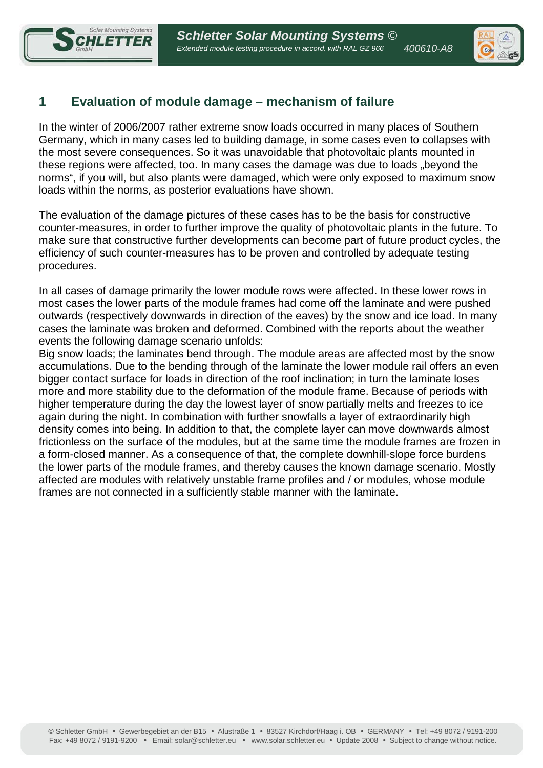



# **1 Evaluation of module damage – mechanism of failure**

In the winter of 2006/2007 rather extreme snow loads occurred in many places of Southern Germany, which in many cases led to building damage, in some cases even to collapses with the most severe consequences. So it was unavoidable that photovoltaic plants mounted in these regions were affected, too. In many cases the damage was due to loads "beyond the norms", if you will, but also plants were damaged, which were only exposed to maximum snow loads within the norms, as posterior evaluations have shown.

The evaluation of the damage pictures of these cases has to be the basis for constructive counter-measures, in order to further improve the quality of photovoltaic plants in the future. To make sure that constructive further developments can become part of future product cycles, the efficiency of such counter-measures has to be proven and controlled by adequate testing procedures.

In all cases of damage primarily the lower module rows were affected. In these lower rows in most cases the lower parts of the module frames had come off the laminate and were pushed outwards (respectively downwards in direction of the eaves) by the snow and ice load. In many cases the laminate was broken and deformed. Combined with the reports about the weather events the following damage scenario unfolds:

Big snow loads; the laminates bend through. The module areas are affected most by the snow accumulations. Due to the bending through of the laminate the lower module rail offers an even bigger contact surface for loads in direction of the roof inclination; in turn the laminate loses more and more stability due to the deformation of the module frame. Because of periods with higher temperature during the day the lowest layer of snow partially melts and freezes to ice again during the night. In combination with further snowfalls a layer of extraordinarily high density comes into being. In addition to that, the complete layer can move downwards almost frictionless on the surface of the modules, but at the same time the module frames are frozen in a form-closed manner. As a consequence of that, the complete downhill-slope force burdens the lower parts of the module frames, and thereby causes the known damage scenario. Mostly affected are modules with relatively unstable frame profiles and / or modules, whose module frames are not connected in a sufficiently stable manner with the laminate.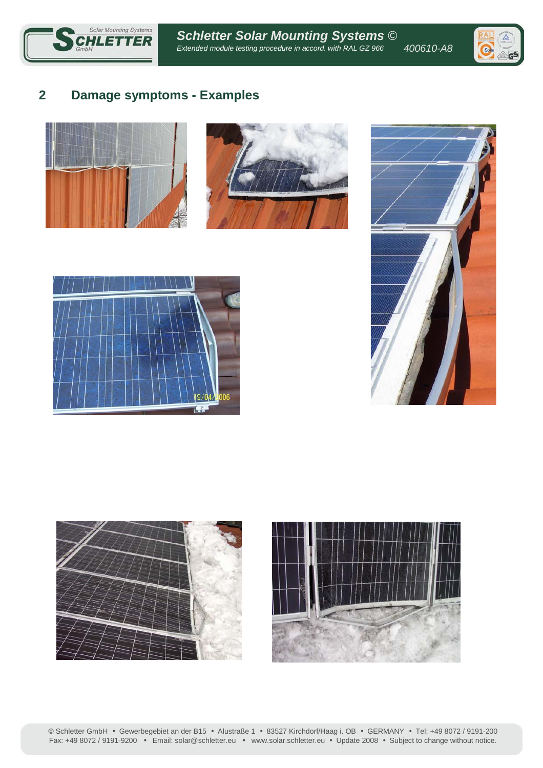



## **2 Damage symptoms - Examples**











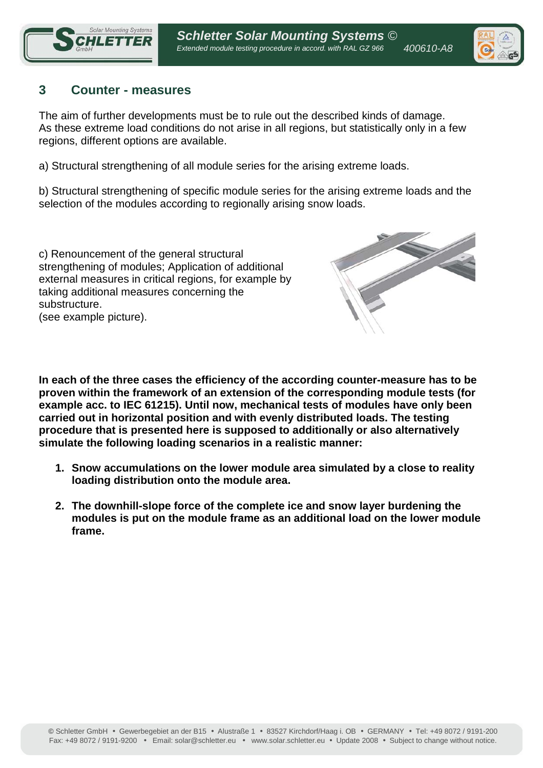



### **3 Counter - measures**

The aim of further developments must be to rule out the described kinds of damage. As these extreme load conditions do not arise in all regions, but statistically only in a few regions, different options are available.

a) Structural strengthening of all module series for the arising extreme loads.

b) Structural strengthening of specific module series for the arising extreme loads and the selection of the modules according to regionally arising snow loads.

c) Renouncement of the general structural strengthening of modules; Application of additional external measures in critical regions, for example by taking additional measures concerning the substructure. (see example picture).



**In each of the three cases the efficiency of the according counter-measure has to be proven within the framework of an extension of the corresponding module tests (for example acc. to IEC 61215). Until now, mechanical tests of modules have only been carried out in horizontal position and with evenly distributed loads. The testing procedure that is presented here is supposed to additionally or also alternatively simulate the following loading scenarios in a realistic manner:** 

- **1. Snow accumulations on the lower module area simulated by a close to reality loading distribution onto the module area.**
- **2. The downhill-slope force of the complete ice and snow layer burdening the modules is put on the module frame as an additional load on the lower module frame.**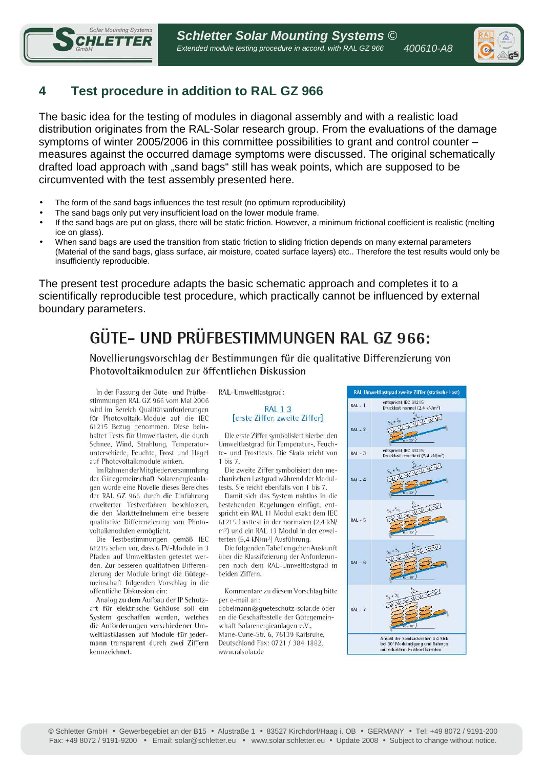

# **4 Test procedure in addition to RAL GZ 966**

**Solar Mounting Systems** 

Ī

The basic idea for the testing of modules in diagonal assembly and with a realistic load distribution originates from the RAL-Solar research group. From the evaluations of the damage symptoms of winter 2005/2006 in this committee possibilities to grant and control counter – measures against the occurred damage symptoms were discussed. The original schematically drafted load approach with "sand bags" still has weak points, which are supposed to be circumvented with the test assembly presented here.

- The form of the sand bags influences the test result (no optimum reproducibility)
- The sand bags only put very insufficient load on the lower module frame.
- If the sand bags are put on glass, there will be static friction. However, a minimum frictional coefficient is realistic (melting ice on glass).
- When sand bags are used the transition from static friction to sliding friction depends on many external parameters (Material of the sand bags, glass surface, air moisture, coated surface layers) etc.. Therefore the test results would only be insufficiently reproducible.

The present test procedure adapts the basic schematic approach and completes it to a scientifically reproducible test procedure, which practically cannot be influenced by external boundary parameters.

# GÜTE- UND PRÜFBESTIMMUNGEN RAL GZ 966:

Novellierungsvorschlag der Bestimmungen für die qualitative Differenzierung von Photovoltaikmodulen zur öffentlichen Diskussion

In der Fassung der Güte- und Prüfbestimmungen RAL GZ 966 vom Mai 2006 wird im Bereich Qualitätsanforderungen für Photovoltaik-Module auf die IEC 61215 Bezug genommen. Diese beinhaltet Tests für Umweltlasten, die durch Schnee, Wind, Strahlung, Temperaturunterschiede, Feuchte, Frost und Hagel auf Photovoltaikmodule wirken.

Im Rahmen der Mitgliederversammlung der Gütegemeinschaft Solarenergieanlagen wurde eine Novelle dieses Bereiches der RAL GZ 966 durch die Einführung erweiterter Testverfahren beschlossen, die den Marktteilnehmern eine bessere qualitative Differenzierung von Photovoltaikmodulen ermöglicht.

Die Testbestimmungen gemäß IEC 61215 sehen vor, dass 6 PV-Module in 3 Pfaden auf Umweltlasten getestet werden. Zur besseren qualitativen Differenzierung der Module bringt die Gütegemeinschaft folgenden Vorschlag in die öffentliche Diskussion ein:

Analog zu dem Aufbau der IP Schutzart für elektrische Gehäuse soll ein System geschaffen werden, welches die Anforderungen verschiedener Umweltlastklassen auf Module für jedermann transparent durch zwei Ziffern kennzeichnet.

RAL-Umweltlastgrad:

#### **RAL 13** [erste Ziffer, zweite Ziffer]

Die erste Ziffer symbolisiert hierbei den Umweltlastgrad für Temperatur-, Feuchte- und Frosttests. Die Skala reicht von 1 bis 7.

Die zweite Ziffer symbolisiert den mechanischen Lastgrad während der Modultests. Sie reicht ebenfalls von 1 bis 7

Damit sich das System nahtlos in die bestehenden Regelungen einfügt, entspricht ein RAL 11 Modul exakt dem IEC 61215 Lasttest in der normalen (2,4 kN/ m<sup>2</sup>) und ein RAL 13 Modul in der erweiterten (5,4 kN/m<sup>2</sup>) Ausführung.

Die folgenden Tabellen geben Auskunft über die Klassifizierung der Anforderungen nach dem RAL-Umweltlastgrad in beiden Ziffern.

Kommentare zu diesem Vorschlag bitte per e-mail an:

dobelmann@gueteschutz-solar.de oder an die Geschäftsstelle der Gütegemeinschaft Solarenergieanlagen e.V.. Marie-Curie-Str. 6, 76139 Karlsruhe, Deutschland Fax: 0721 / 384 1882, www.ralsolar.de

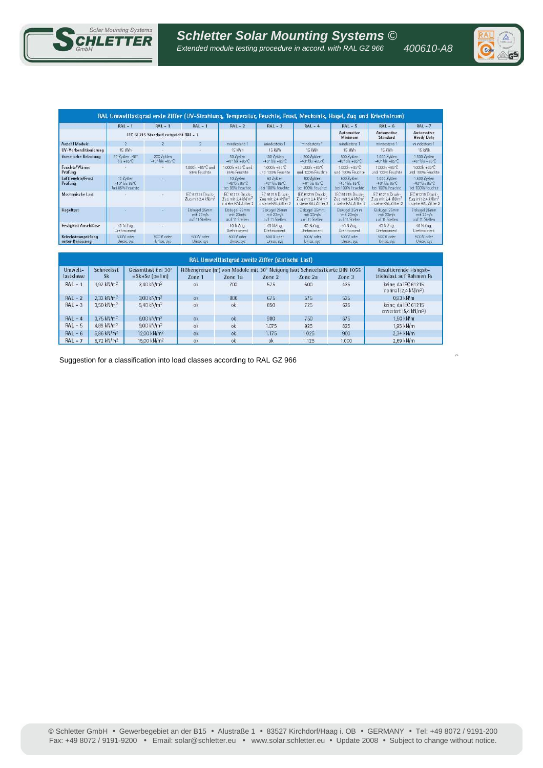



| RAL Umweltlastgrad erste Ziffer (UV-Strahlung, Temperatur, Feuchte, Frost, Mechanik, Hagel, Zug und Kriechstrom) |                                               |                                                 |                                                   |                                                                           |                                                                             |                                                                          |                                                                            |                                                                           |                                                                           |  |
|------------------------------------------------------------------------------------------------------------------|-----------------------------------------------|-------------------------------------------------|---------------------------------------------------|---------------------------------------------------------------------------|-----------------------------------------------------------------------------|--------------------------------------------------------------------------|----------------------------------------------------------------------------|---------------------------------------------------------------------------|---------------------------------------------------------------------------|--|
|                                                                                                                  | $RAL - 1$                                     | $RAL - 1$                                       | $RAL - 1$                                         | $RAL - 2$                                                                 | $RAL - 3$                                                                   | $RAL - 4$                                                                | $RAL - 5$                                                                  | $RAL - 6$                                                                 | $RAL - 7$                                                                 |  |
|                                                                                                                  | IEC 61215 Standard entspricht RAL - 1         |                                                 |                                                   |                                                                           |                                                                             |                                                                          | Automotive<br>Minimum                                                      | Automotive<br>Standard                                                    | Automotive<br><b>Heady Duty</b>                                           |  |
| Anzahl Module                                                                                                    | ю.                                            | $\mathcal{L}$                                   | $\mathbf{2}$                                      | mindestens 1                                                              | mindestens 1                                                                | mindestens 1                                                             | mindestens 1                                                               | mindestens 1                                                              | mindestens 1                                                              |  |
| UV-Vorkonditionierung                                                                                            | 15 KWh                                        |                                                 | $\equiv$                                          | 15 KWH                                                                    | 15 KWh                                                                      | 15 KWh                                                                   | 15 KWh                                                                     | 15 KWh                                                                    | 15 KWh                                                                    |  |
| thermische Belastung                                                                                             | 50 Zyklen - 40"<br>$bis + 85°C$               | 200 Zyklen<br>$-40^{\circ}$ bis $+85^{\circ}$ C |                                                   | 50 Zyklen<br>$-40^{\circ}$ bis $+85^{\circ}$ C                            | 100 Zviden<br>$-40^{\circ}$ his $+85^{\circ}$ <sup>C</sup>                  | 200 Zvklen<br>$-40^\circ$ bis $+85^\circ$ C                              | 500 Zvklen<br>$-40"$ bis $+85"$ C                                          | 1.000 Zyklen<br>$-40$ <sup>*</sup> bis $+85$ <sup>*</sup> C               | 1.500 Zvklen<br>$-40$ <sup>*</sup> bis + 85 <sup>*</sup> C                |  |
| Feuchte/Wärme<br>Prüfung                                                                                         |                                               |                                                 | 1,000h +85°C und<br>85% Feuchte                   | 1,000h +85°C und<br>85% Feuchte                                           | $1,000h + 85^{\circ}C$<br>und 100% Feuchte                                  | $1,000h + B5^{\circ}C$<br>und 100% Feuchte                               | $1.000h + B5^{\circ}C$<br>und 100% Feuchte                                 | 1,000h +85°C<br>und 100% Feuchte                                          | 1,000h +85°C<br>und 100% Feuchte                                          |  |
| Luftfeuchte/Frost<br>Prüfung                                                                                     | 10 Zyklen<br>-40° his R5°C<br>bei 85% Feuchte |                                                 |                                                   | 10 Zyklen<br>$-40^\circ$ bis $85^\circ$ C<br>bei 85% Feuchte              | 50 Zyklen<br>$-40$ <sup>2</sup> bis $R5$ <sup>4</sup> C<br>bei 100% Feuchte | 100 Zyklen<br>-40* bis B5"C<br>bei 100% Feuchte                          | 500 Zyklen<br>$-40$ <sup>*</sup> bis B5 <sup>*</sup> C<br>bei 100% Feuchte | 1.000 Zyklen<br>-40° bis 85°C<br>bei 100% Feuchte                         | 1.500 Zyklen<br>-40" bis 85°C<br>bei 100% Feuchte                         |  |
| Mechanische Last                                                                                                 |                                               |                                                 | IEC 61215 Druck-<br>Zug mit 2,4 kN/m <sup>2</sup> | IEC 61215 Druck-<br>Zug mit 2.4 kN/m <sup>2</sup><br>+ siehe RAL Ziffer 2 | IEC 61215 Druck-<br>Zun mit 24 kNm <sup>2</sup><br>+ siehe RAL Ziffer 2     | EC 61215 Druck-<br>Zug mit 2.4 kN/m <sup>2</sup><br>+ siche RAL Ziffer 2 | IEC 61215 Druck-<br>Zug mit 2,4 kN/m <sup>2</sup><br>+ siehe RAL Ziffer 2  | IEC 61215 Druck-<br>Zug mit 2.4 kN/m <sup>2</sup><br>+ siehe RAL Ziffer 2 | IEC 61215 Druck-<br>Zug mit 2.4 kN/m <sup>2</sup><br>+ sighe RAL Ziffer 2 |  |
| Hageltest                                                                                                        |                                               |                                                 | Eiskugel 25mm<br>mit 23m/s<br>auf 11 Stellen      | Eiskugel 25mm<br>mlt 23m/s<br>auf 11 Stellen                              | Eiskugel 25mm<br>mit 23m/s<br>auf 11 Stellen                                | Eiskugel 25mm<br>mit 23m/s<br>auf 11 Stellen                             | Eiskugel 25mm<br>mit 23m/s.<br>auf 11 Stellen                              | Eiskugel 25mm<br>mit 23m/s<br>auf 11 Stellen                              | Eiskugel 25mm<br>mit 23m/s<br>auf 11 Stellen                              |  |
| Festigkeit Anschlüsse                                                                                            | 40 N Zun<br>Drehmoment                        |                                                 |                                                   | 40 N Zua.<br>Drehmoment                                                   | 40 NZug<br>Drehmoment                                                       | 40 NZua.<br>Drehmoment                                                   | 40 N Zug.<br>Drehmoment                                                    | 40 N Zug.<br>Drehmoment                                                   | 40 N Zug.<br>Drehmoment                                                   |  |
| Kriechstromprüfung<br>unter Benässung                                                                            | 500 V oder<br>Umax, sys                       | 500V oder<br>Umax, sys-                         | 500 V oder<br>Umax, sys.                          | 500 V oder<br>Umax, sys                                                   | 500 V oder<br>Umax, sys.                                                    | 500 V oder<br>Umax, sys                                                  | 500 V oder<br>Umax, sys                                                    | 500 V oder<br>Umax, sys.                                                  | 500 V oder<br>Umax, sys                                                   |  |

| RAL Umweltlastgrad zweite Ziffer (statische Last) |                          |                                        |                                                                                                                                                  |     |       |       |       |                                                           |  |  |  |
|---------------------------------------------------|--------------------------|----------------------------------------|--------------------------------------------------------------------------------------------------------------------------------------------------|-----|-------|-------|-------|-----------------------------------------------------------|--|--|--|
| Umwelt-<br>lastklasse                             | Schneelast<br>Sk         | Gesamtlast hei 30°<br>$=$ Sk+Se (b=1m) | Höhengrenze (m) von Module mit 30° Neigung laut Schneelastkarte DIN 1055<br>Zone 1<br>Zone 2<br>Zone <sub>2a</sub><br>$\text{Zone}$ 1a<br>Zone 3 |     |       |       |       | Resultierende Hangab-<br>triebslast auf Rahmen Fs         |  |  |  |
| $RAL - 1$                                         | $1.97$ kN/m <sup>2</sup> | 2.40 kN/m <sup>2</sup>                 | ok                                                                                                                                               | 700 | 575   | 500   | 425   | keine, da IEC 61215<br>normal (2,4 kN/m <sup>2</sup> )    |  |  |  |
| $RAL - 2$                                         | 2.32 kN/m <sup>2</sup>   | 3.00 kN/m <sup>2</sup>                 | <b>ok</b>                                                                                                                                        | 800 | 675   | 575   | 525   | $0.93$ kN/ $m$                                            |  |  |  |
| $RAL - 3$                                         | $3.50$ kN/m <sup>2</sup> | $5.40$ kN/ $m2$                        | ok                                                                                                                                               | ok  | 850   | 725   | 625   | keine, da IEC 61215<br>erweitert (5,4 kN/m <sup>2</sup> ) |  |  |  |
| $RAL - 4$                                         | $3.75$ kN/m <sup>2</sup> | 6.00 kN/m <sup>2</sup>                 | ok                                                                                                                                               | ok  | 900   | 750   | 675   | 1.50 kN/m                                                 |  |  |  |
| $RAL - 5$                                         | 4.89 kN/m <sup>2</sup>   | 9.00 kN/m <sup>2</sup>                 | ok                                                                                                                                               | ok  | 1.075 | 925   | 825   | 1.95 kN/m                                                 |  |  |  |
| $RAL - 6$                                         | 5.86 kN/m <sup>2</sup>   | 12.00 kN/m <sup>2</sup>                | ok                                                                                                                                               | ok  | 1.175 | 1.025 | 900   | 2.34 kN/m                                                 |  |  |  |
| $RAL - 7$                                         | $6.72$ kN/m <sup>2</sup> | 15.00 kN/m <sup>2</sup>                | ok                                                                                                                                               | ok  | ok    | 1.125 | 1,000 | 2.69 kN/m                                                 |  |  |  |

Suggestion for a classification into load classes according to RAL GZ 966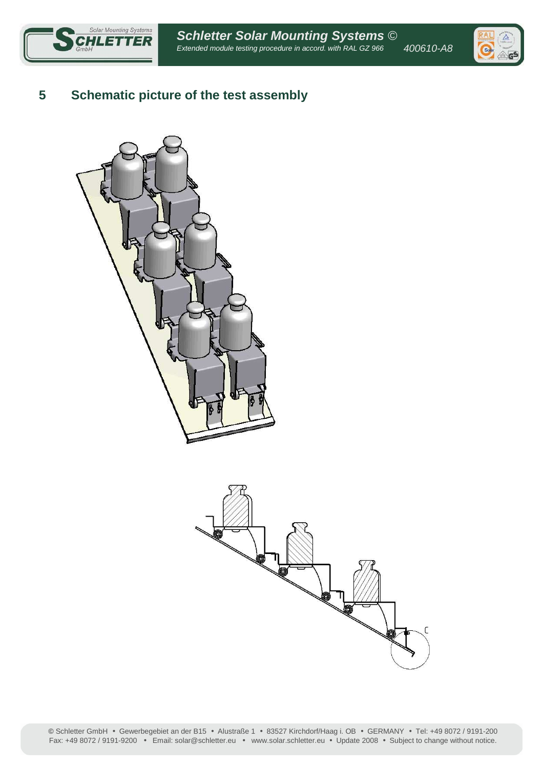

# **5 Schematic picture of the test assembly**





**©** Schletter GmbH • Gewerbegebiet an der B15 • Alustraße 1 • 83527 Kirchdorf/Haag i. OB • GERMANY • Tel: +49 8072 / 9191-200 Fax: +49 8072 / 9191-9200 • Email: solar@schletter.eu • www.solar.schletter.eu • Update 2008 • Subject to change without notice.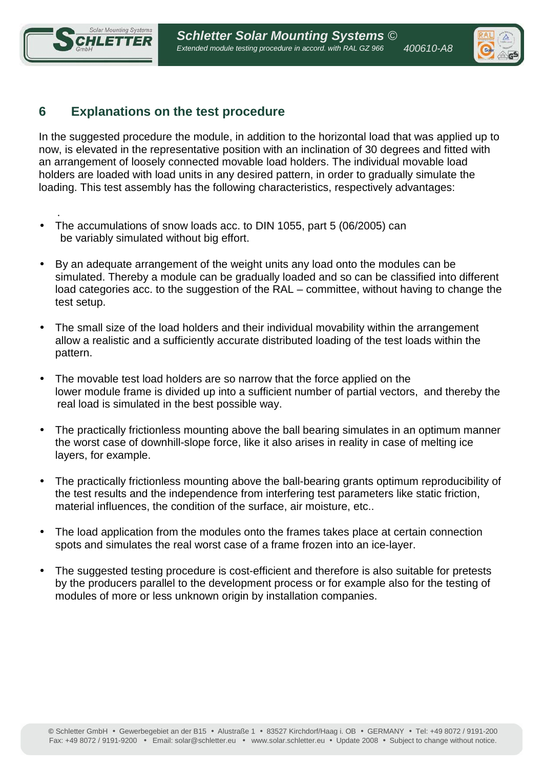

.



# **6 Explanations on the test procedure**

In the suggested procedure the module, in addition to the horizontal load that was applied up to now, is elevated in the representative position with an inclination of 30 degrees and fitted with an arrangement of loosely connected movable load holders. The individual movable load holders are loaded with load units in any desired pattern, in order to gradually simulate the loading. This test assembly has the following characteristics, respectively advantages:

- The accumulations of snow loads acc. to DIN 1055, part 5 (06/2005) can be variably simulated without big effort.
- By an adequate arrangement of the weight units any load onto the modules can be simulated. Thereby a module can be gradually loaded and so can be classified into different load categories acc. to the suggestion of the RAL – committee, without having to change the test setup.
- The small size of the load holders and their individual movability within the arrangement allow a realistic and a sufficiently accurate distributed loading of the test loads within the pattern.
- The movable test load holders are so narrow that the force applied on the lower module frame is divided up into a sufficient number of partial vectors, and thereby the real load is simulated in the best possible way.
- The practically frictionless mounting above the ball bearing simulates in an optimum manner the worst case of downhill-slope force, like it also arises in reality in case of melting ice layers, for example.
- The practically frictionless mounting above the ball-bearing grants optimum reproducibility of the test results and the independence from interfering test parameters like static friction, material influences, the condition of the surface, air moisture, etc..
- The load application from the modules onto the frames takes place at certain connection spots and simulates the real worst case of a frame frozen into an ice-layer.
- The suggested testing procedure is cost-efficient and therefore is also suitable for pretests by the producers parallel to the development process or for example also for the testing of modules of more or less unknown origin by installation companies.